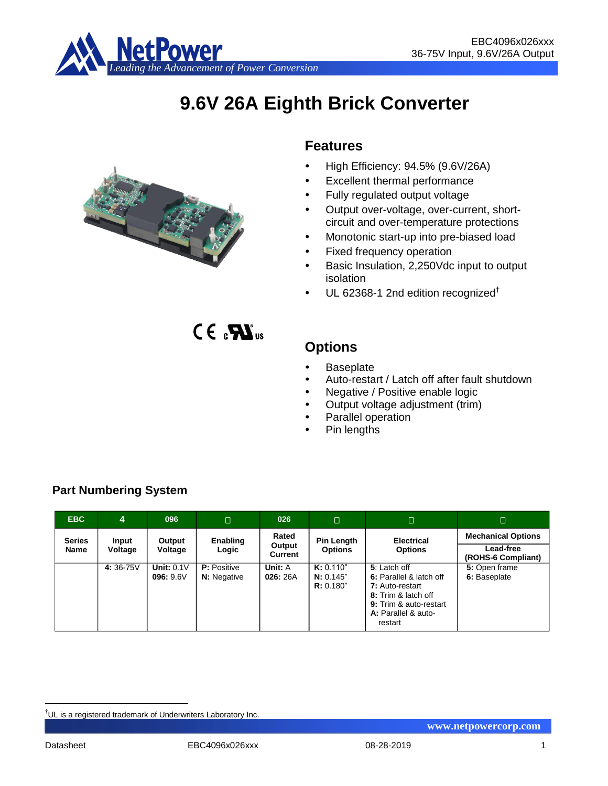

# **9.6V 26A Eighth Brick Converter**



# **Features**

- $\bullet$  High Efficiency: 94.5% (9.6V/26A)
- Excellent thermal performance
- Fully regulated output voltage
- Output over-voltage, over-current, shortcircuit and over-temperature protections
- Monotonic start-up into pre-biased load
- Fixed frequency operation
- Basic Insulation, 2,250Vdc input to output isolation
- $\cdot$  UL 62368-1 2nd edition recognized<sup>†</sup>

 $CE_{c}$ **<sub>us</sub>** 

# **Options**

- Baseplate
- Auto-restart / Latch off after fault shutdown
- Negative / Positive enable logic
- Output voltage adjustment (trim)
- Parallel operation
- Pin lengths

| <b>EBC</b>            | 4                | 096                       | $\Box$                                   | 026                        | П                                   | П                                                                                                                                             | D                                                            |
|-----------------------|------------------|---------------------------|------------------------------------------|----------------------------|-------------------------------------|-----------------------------------------------------------------------------------------------------------------------------------------------|--------------------------------------------------------------|
| <b>Series</b><br>Name | Input<br>Voltage | Output<br>Voltage         | Enabling<br>Logic                        | Rated<br>Output<br>Current | <b>Pin Length</b><br><b>Options</b> | <b>Electrical</b><br><b>Options</b>                                                                                                           | <b>Mechanical Options</b><br>Lead-free<br>(ROHS-6 Compliant) |
|                       | 4:36-75V         | Unit: $0.1V$<br>096: 9.6V | <b>P:</b> Positive<br><b>N:</b> Negative | Unit: A<br>026:26A         | K: 0.110"<br>N: 0.145"<br>R: 0.180" | 5: Latch off<br>6: Parallel & latch off<br>7: Auto-restart<br>8: Trim & latch off<br>9: Trim & auto-restart<br>A: Parallel & auto-<br>restart | 5: Open frame<br>6: Baseplate                                |

# **Part Numbering System**

<u>.</u>

<sup>†</sup>UL is a registered trademark of Underwriters Laboratory Inc.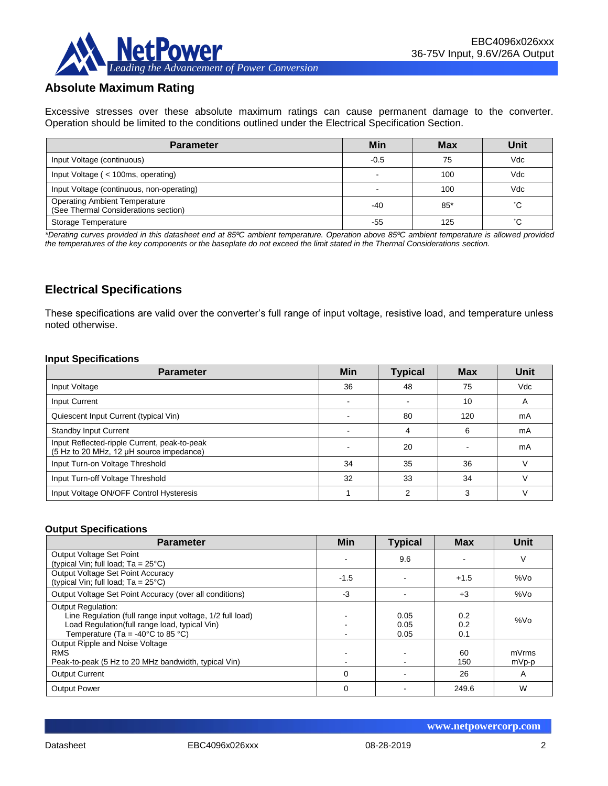

# **Absolute Maximum Rating**

Excessive stresses over these absolute maximum ratings can cause permanent damage to the converter. Operation should be limited to the conditions outlined under the Electrical Specification Section.

| <b>Parameter</b>                                                             | Min    | <b>Max</b> | Unit |
|------------------------------------------------------------------------------|--------|------------|------|
| Input Voltage (continuous)                                                   | $-0.5$ | 75         | Vdc  |
| Input Voltage ( < 100ms, operating)                                          |        | 100        | Vdc  |
| Input Voltage (continuous, non-operating)                                    |        | 100        | Vdc  |
| <b>Operating Ambient Temperature</b><br>(See Thermal Considerations section) | -40    | $85*$      | °С   |
| Storage Temperature                                                          | -55    | 125        | °С   |

*\*Derating curves provided in this datasheet end at 85ºC ambient temperature. Operation above 85ºC ambient temperature is allowed provided the temperatures of the key components or the baseplate do not exceed the limit stated in the Thermal Considerations section.*

# **Electrical Specifications**

These specifications are valid over the converter's full range of input voltage, resistive load, and temperature unless noted otherwise.

#### **Input Specifications**

| <b>Parameter</b>                                                                         | <b>Min</b> | <b>Typical</b> | <b>Max</b> | Unit       |
|------------------------------------------------------------------------------------------|------------|----------------|------------|------------|
| Input Voltage                                                                            | 36         | 48             | 75         | <b>Vdc</b> |
| Input Current                                                                            |            |                | 10         | A          |
| Quiescent Input Current (typical Vin)                                                    |            | 80             | 120        | mA         |
| <b>Standby Input Current</b>                                                             |            |                | 6          | mA         |
| Input Reflected-ripple Current, peak-to-peak<br>(5 Hz to 20 MHz, 12 µH source impedance) |            | 20             |            | mA         |
| Input Turn-on Voltage Threshold                                                          | 34         | 35             | 36         |            |
| Input Turn-off Voltage Threshold                                                         | 32         | 33             | 34         |            |
| Input Voltage ON/OFF Control Hysteresis                                                  |            | c              | 3          |            |

#### **Output Specifications**

| <b>Parameter</b>                                                                                                                                                                                  | <b>Min</b> | <b>Typical</b>       | <b>Max</b>        | Unit            |
|---------------------------------------------------------------------------------------------------------------------------------------------------------------------------------------------------|------------|----------------------|-------------------|-----------------|
| Output Voltage Set Point<br>(typical Vin; full load; $Ta = 25^{\circ}C$ )                                                                                                                         |            | 9.6                  |                   | V               |
| Output Voltage Set Point Accuracy<br>(typical Vin; full load; $Ta = 25^{\circ}C$ )                                                                                                                | $-1.5$     |                      | $+1.5$            | %V <sub>O</sub> |
| Output Voltage Set Point Accuracy (over all conditions)                                                                                                                                           | $-3$       |                      | $+3$              | %Vo             |
| <b>Output Regulation:</b><br>Line Regulation (full range input voltage, 1/2 full load)<br>Load Regulation(full range load, typical Vin)<br>Temperature (Ta = -40 $^{\circ}$ C to 85 $^{\circ}$ C) |            | 0.05<br>0.05<br>0.05 | 0.2<br>0.2<br>0.1 | %Vo             |
| Output Ripple and Noise Voltage<br><b>RMS</b><br>Peak-to-peak (5 Hz to 20 MHz bandwidth, typical Vin)                                                                                             |            |                      | 60<br>150         | mVrms<br>mVp-p  |
| <b>Output Current</b>                                                                                                                                                                             | $\Omega$   |                      | 26                | A               |
| <b>Output Power</b>                                                                                                                                                                               | $\Omega$   |                      | 249.6             | W               |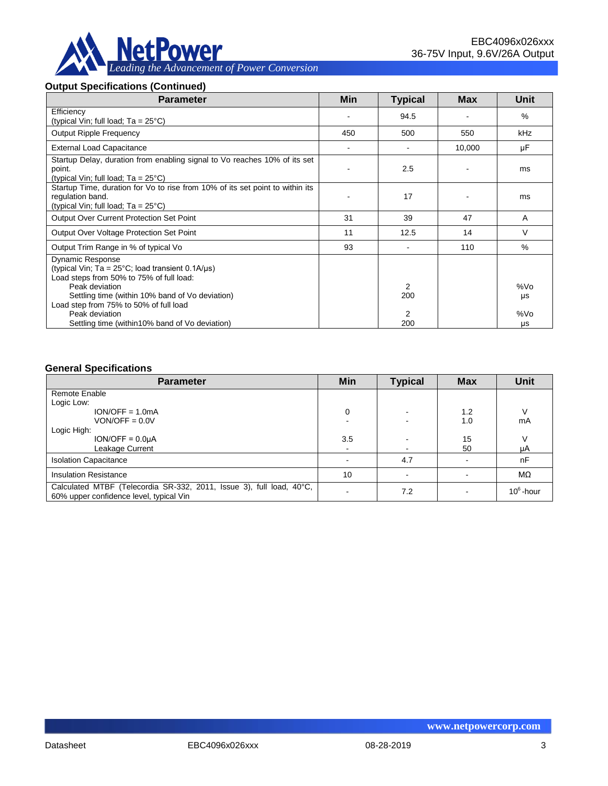

#### **Output Specifications (Continued)**

| <b>Parameter</b>                                                                                                                                                                                             | <b>Min</b> | <b>Typical</b> | <b>Max</b> | Unit                  |
|--------------------------------------------------------------------------------------------------------------------------------------------------------------------------------------------------------------|------------|----------------|------------|-----------------------|
| Efficiency<br>(typical Vin; full load; $Ta = 25^{\circ}C$ )                                                                                                                                                  |            | 94.5           |            | $\%$                  |
| <b>Output Ripple Frequency</b>                                                                                                                                                                               | 450        | 500            | 550        | kHz                   |
| <b>External Load Capacitance</b>                                                                                                                                                                             |            |                | 10,000     | μF                    |
| Startup Delay, duration from enabling signal to Vo reaches 10% of its set<br>point.<br>(typical Vin; full load; $Ta = 25^{\circ}C$ )                                                                         |            | 2.5            |            | ms                    |
| Startup Time, duration for Vo to rise from 10% of its set point to within its<br>regulation band.<br>(typical Vin; full load; $Ta = 25^{\circ}C$ )                                                           |            | 17             |            | ms                    |
| <b>Output Over Current Protection Set Point</b>                                                                                                                                                              | 31         | 39             | 47         | A                     |
| Output Over Voltage Protection Set Point                                                                                                                                                                     | 11         | 12.5           | 14         | V                     |
| Output Trim Range in % of typical Vo                                                                                                                                                                         | 93         |                | 110        | $\%$                  |
| <b>Dynamic Response</b><br>(typical Vin; Ta = $25^{\circ}$ C; load transient 0.1A/ $\mu$ s)<br>Load steps from 50% to 75% of full load:<br>Peak deviation<br>Settling time (within 10% band of Vo deviation) |            | 2<br>200       |            | %V <sub>O</sub><br>μs |
| Load step from 75% to 50% of full load<br>Peak deviation<br>Settling time (within 10% band of Vo deviation)                                                                                                  |            | 2<br>200       |            | %Vo<br>μs             |

#### **General Specifications**

| <b>Parameter</b>                                                                                                | Min | <b>Typical</b> | <b>Max</b> | <b>Unit</b>  |
|-----------------------------------------------------------------------------------------------------------------|-----|----------------|------------|--------------|
| Remote Enable                                                                                                   |     |                |            |              |
| Logic Low:                                                                                                      |     |                |            |              |
| $ION/OFF = 1.0mA$                                                                                               | 0   |                | 1.2        |              |
| $VON/OFF = 0.0V$                                                                                                |     |                | 1.0        | mA           |
| Logic High:                                                                                                     |     |                |            |              |
| $ION/OFF = 0.0µA$                                                                                               | 3.5 |                | 15         | V            |
| Leakage Current                                                                                                 |     |                | 50         | μA           |
| <b>Isolation Capacitance</b>                                                                                    |     | 4.7            |            | nF           |
| <b>Insulation Resistance</b>                                                                                    | 10  |                |            | $M\Omega$    |
| Calculated MTBF (Telecordia SR-332, 2011, Issue 3), full load, 40°C,<br>60% upper confidence level, typical Vin |     | 7.2            |            | $10^6$ -hour |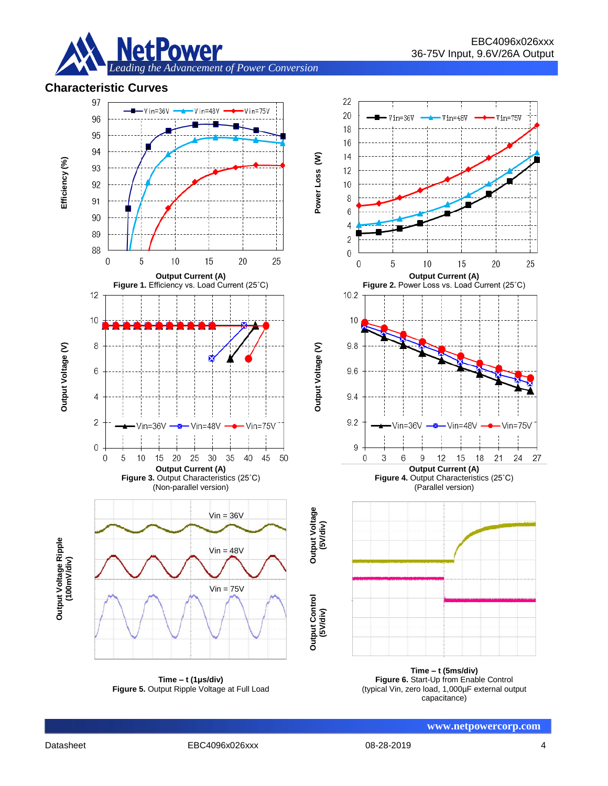

# **Characteristic Curves**



**Figure 5.** Output Ripple Voltage at Full Load

**Figure 6.** Start-Up from Enable Control (typical Vin, zero load, 1,000µF external output capacitance)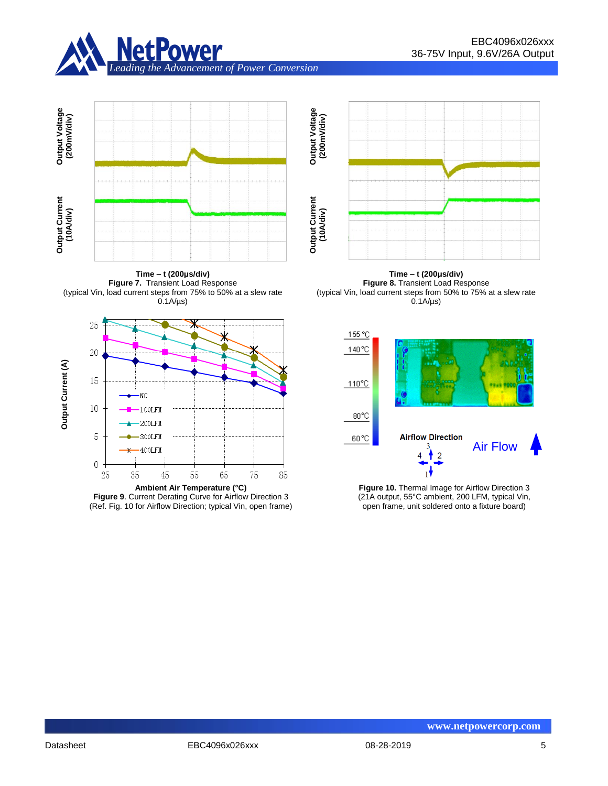



**Time – t (200μs/div) Figure 7.** Transient Load Response (typical Vin, load current steps from 75% to 50% at a slew rate  $0.1A/\mu s$ 



**Figure 9**. Current Derating Curve for Airflow Direction 3 (Ref. Fig. 10 for Airflow Direction; typical Vin, open frame)



**Time – t (200μs/div) Figure 8.** Transient Load Response (typical Vin, load current steps from 50% to 75% at a slew rate  $0.1A/\mu s$ 



**Figure 10.** Thermal Image for Airflow Direction 3 (21A output, 55°C ambient, 200 LFM, typical Vin, open frame, unit soldered onto a fixture board)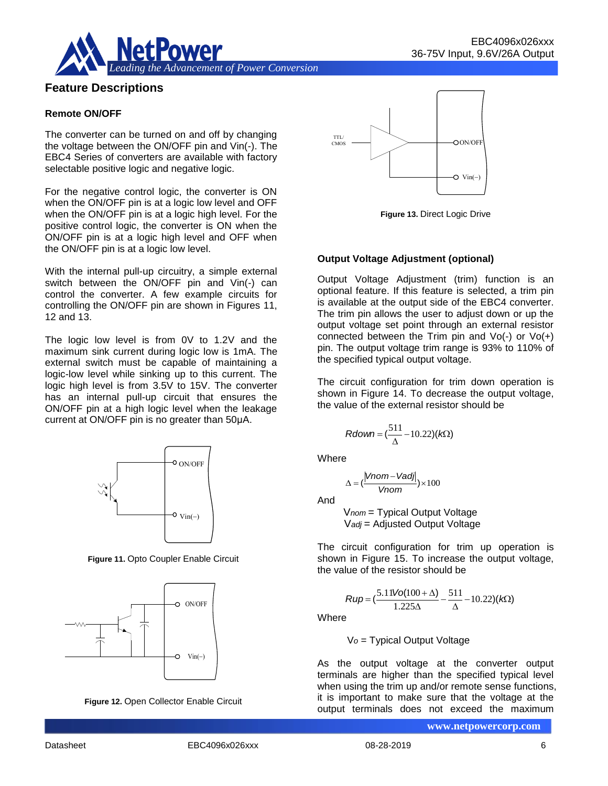

# **Feature Descriptions**

#### **Remote ON/OFF**

The converter can be turned on and off by changing the voltage between the ON/OFF pin and Vin(-). The EBC4 Series of converters are available with factory selectable positive logic and negative logic.

For the negative control logic, the converter is ON when the ON/OFF pin is at a logic low level and OFF when the ON/OFF pin is at a logic high level. For the positive control logic, the converter is ON when the ON/OFF pin is at a logic high level and OFF when the ON/OFF pin is at a logic low level.

With the internal pull-up circuitry, a simple external switch between the ON/OFF pin and Vin(-) can control the converter. A few example circuits for controlling the ON/OFF pin are shown in Figures 11, 12 and 13.

The logic low level is from 0V to 1.2V and the maximum sink current during logic low is 1mA. The external switch must be capable of maintaining a logic-low level while sinking up to this current. The logic high level is from 3.5V to 15V. The converter has an internal pull-up circuit that ensures the ON/OFF pin at a high logic level when the leakage current at ON/OFF pin is no greater than 50μA.



**Figure 11.** Opto Coupler Enable Circuit







**Figure 13.** Direct Logic Drive

#### **Output Voltage Adjustment (optional)**

Output Voltage Adjustment (trim) function is an optional feature. If this feature is selected, a trim pin is available at the output side of the EBC4 converter. The trim pin allows the user to adjust down or up the output voltage set point through an external resistor connected between the Trim pin and  $Vo(-)$  or  $Vo(+)$ pin. The output voltage trim range is 93% to 110% of the specified typical output voltage.

The circuit configuration for trim down operation is shown in Figure 14. To decrease the output voltage, the value of the external resistor should be

$$
Rdown = (\frac{511}{\Delta} - 10.22)(k\Omega)
$$

Where

$$
\Delta = (\frac{|Vnom - Vadj|}{Vnom}) \times 100
$$

And

V*nom* = Typical Output Voltage V*adj* = Adjusted Output Voltage

The circuit configuration for trim up operation is shown in Figure 15. To increase the output voltage, the value of the resistor should be

$$
Rup = \left(\frac{5.11\text{Vol}(100 + \Delta)}{1.225\Delta} - \frac{511}{\Delta} - 10.22\right)(k\Omega)
$$

**Where** 

V*o* = Typical Output Voltage

As the output voltage at the converter output terminals are higher than the specified typical level when using the trim up and/or remote sense functions, it is important to make sure that the voltage at the output terminals does not exceed the maximum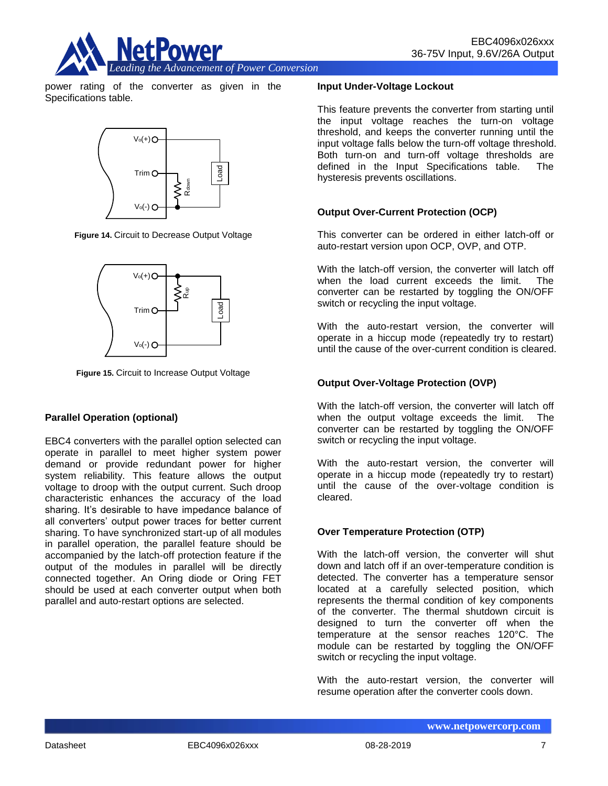

power rating of the converter as given in the Specifications table.



**Figure 14.** Circuit to Decrease Output Voltage



**Figure 15.** Circuit to Increase Output Voltage

# **Parallel Operation (optional)**

EBC4 converters with the parallel option selected can operate in parallel to meet higher system power demand or provide redundant power for higher system reliability. This feature allows the output voltage to droop with the output current. Such droop characteristic enhances the accuracy of the load sharing. It's desirable to have impedance balance of all converters' output power traces for better current sharing. To have synchronized start-up of all modules in parallel operation, the parallel feature should be accompanied by the latch-off protection feature if the output of the modules in parallel will be directly connected together. An Oring diode or Oring FET should be used at each converter output when both parallel and auto-restart options are selected.

#### **Input Under-Voltage Lockout**

This feature prevents the converter from starting until the input voltage reaches the turn-on voltage threshold, and keeps the converter running until the input voltage falls below the turn-off voltage threshold. Both turn-on and turn-off voltage thresholds are defined in the Input Specifications table. The hysteresis prevents oscillations.

## **Output Over-Current Protection (OCP)**

This converter can be ordered in either latch-off or auto-restart version upon OCP, OVP, and OTP.

With the latch-off version, the converter will latch off when the load current exceeds the limit. The converter can be restarted by toggling the ON/OFF switch or recycling the input voltage.

With the auto-restart version, the converter will operate in a hiccup mode (repeatedly try to restart) until the cause of the over-current condition is cleared.

## **Output Over-Voltage Protection (OVP)**

With the latch-off version, the converter will latch off when the output voltage exceeds the limit. The converter can be restarted by toggling the ON/OFF switch or recycling the input voltage.

With the auto-restart version, the converter will operate in a hiccup mode (repeatedly try to restart) until the cause of the over-voltage condition is cleared.

#### **Over Temperature Protection (OTP)**

With the latch-off version, the converter will shut down and latch off if an over-temperature condition is detected. The converter has a temperature sensor located at a carefully selected position, which represents the thermal condition of key components of the converter. The thermal shutdown circuit is designed to turn the converter off when the temperature at the sensor reaches 120°C. The module can be restarted by toggling the ON/OFF switch or recycling the input voltage.

With the auto-restart version, the converter will resume operation after the converter cools down.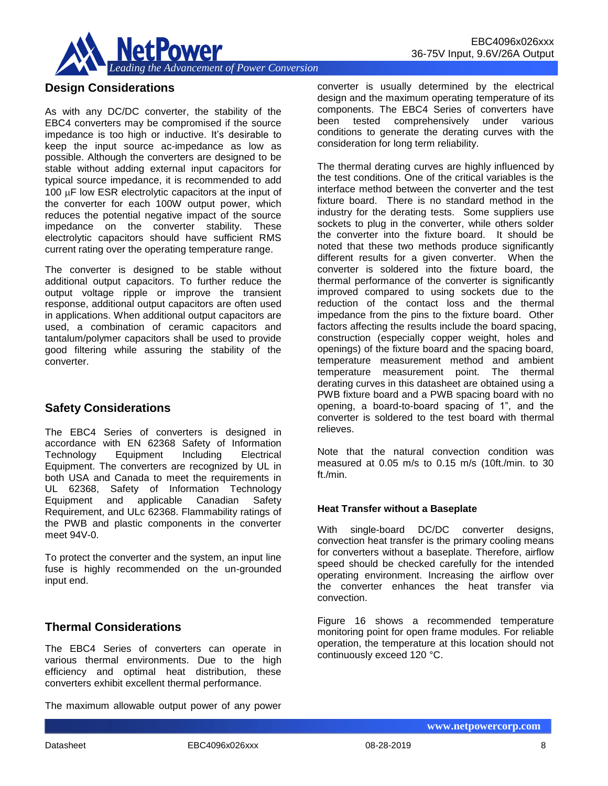

# **Design Considerations**

As with any DC/DC converter, the stability of the EBC4 converters may be compromised if the source impedance is too high or inductive. It's desirable to keep the input source ac-impedance as low as possible. Although the converters are designed to be stable without adding external input capacitors for typical source impedance, it is recommended to add 100  $\mu$ F low ESR electrolytic capacitors at the input of the converter for each 100W output power, which reduces the potential negative impact of the source impedance on the converter stability. These electrolytic capacitors should have sufficient RMS current rating over the operating temperature range.

The converter is designed to be stable without additional output capacitors. To further reduce the output voltage ripple or improve the transient response, additional output capacitors are often used in applications. When additional output capacitors are used, a combination of ceramic capacitors and tantalum/polymer capacitors shall be used to provide good filtering while assuring the stability of the converter.

# **Safety Considerations**

The EBC4 Series of converters is designed in accordance with EN 62368 Safety of Information Technology Equipment Including Electrical Equipment. The converters are recognized by UL in both USA and Canada to meet the requirements in UL 62368, Safety of Information Technology Equipment and applicable Canadian Safety Requirement, and ULc 62368. Flammability ratings of the PWB and plastic components in the converter meet 94V-0.

To protect the converter and the system, an input line fuse is highly recommended on the un-grounded input end.

# **Thermal Considerations**

The EBC4 Series of converters can operate in various thermal environments. Due to the high efficiency and optimal heat distribution, these converters exhibit excellent thermal performance.

The maximum allowable output power of any power

converter is usually determined by the electrical design and the maximum operating temperature of its components. The EBC4 Series of converters have been tested comprehensively under various conditions to generate the derating curves with the consideration for long term reliability.

The thermal derating curves are highly influenced by the test conditions. One of the critical variables is the interface method between the converter and the test fixture board. There is no standard method in the industry for the derating tests. Some suppliers use sockets to plug in the converter, while others solder the converter into the fixture board. It should be noted that these two methods produce significantly different results for a given converter. When the converter is soldered into the fixture board, the thermal performance of the converter is significantly improved compared to using sockets due to the reduction of the contact loss and the thermal impedance from the pins to the fixture board. Other factors affecting the results include the board spacing, construction (especially copper weight, holes and openings) of the fixture board and the spacing board, temperature measurement method and ambient temperature measurement point. The thermal derating curves in this datasheet are obtained using a PWB fixture board and a PWB spacing board with no opening, a board-to-board spacing of 1", and the converter is soldered to the test board with thermal relieves.

Note that the natural convection condition was measured at 0.05 m/s to 0.15 m/s (10ft./min. to 30 ft./min.

#### **Heat Transfer without a Baseplate**

With single-board DC/DC converter designs, convection heat transfer is the primary cooling means for converters without a baseplate. Therefore, airflow speed should be checked carefully for the intended operating environment. Increasing the airflow over the converter enhances the heat transfer via convection.

Figure 16 shows a recommended temperature monitoring point for open frame modules. For reliable operation, the temperature at this location should not continuously exceed 120 °C.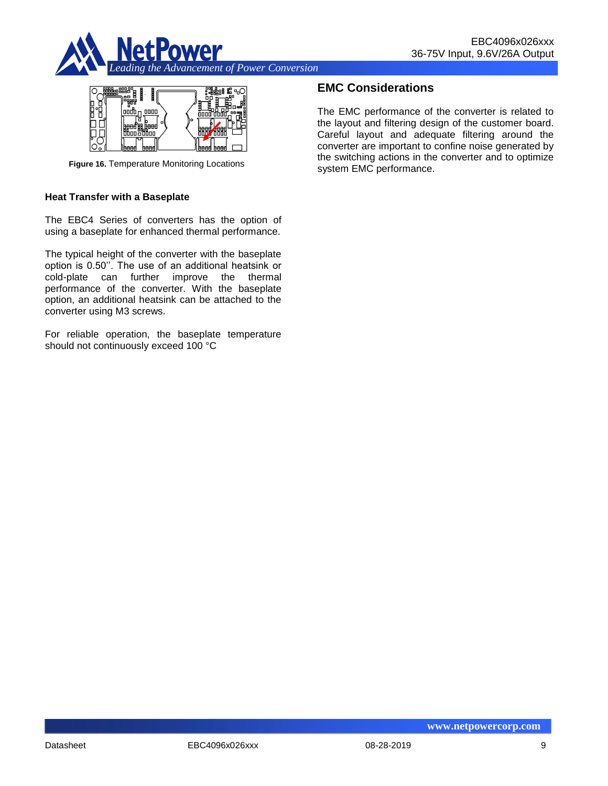



**Figure 16.** Temperature Monitoring Locations

#### **Heat Transfer with a Baseplate**

The EBC4 Series of converters has the option of using a baseplate for enhanced thermal performance.

The typical height of the converter with the baseplate option is 0.50''. The use of an additional heatsink or cold-plate can further improve the thermal performance of the converter. With the baseplate option, an additional heatsink can be attached to the converter using M3 screws.

For reliable operation, the baseplate temperature should not continuously exceed 100 °C

# **EMC Considerations**

The EMC performance of the converter is related to the layout and filtering design of the customer board. Careful layout and adequate filtering around the converter are important to confine noise generated by the switching actions in the converter and to optimize system EMC performance.